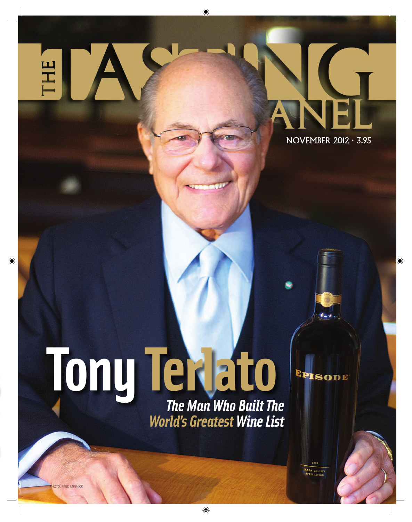HE

# NOVEMBER 2012 · 3.95

# **[Tony Terlato](#page--1-0)** *The Man Who Built The World's Greatest Wine List*

 $2008$ NAPA VALLEY

**EPISODE** 

OTO: FRED MINNICK